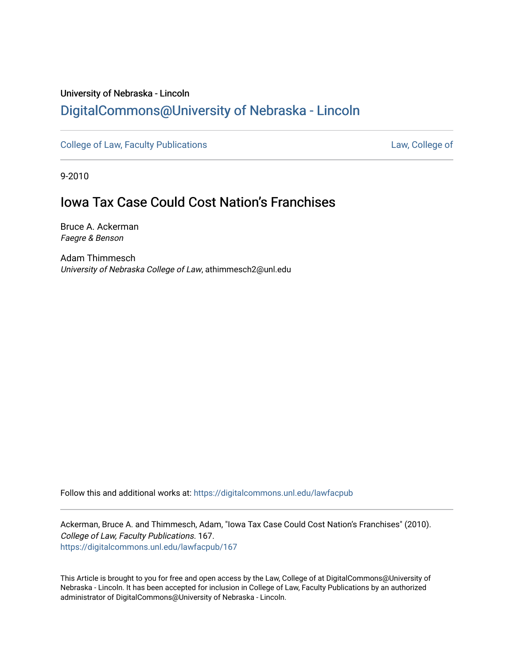# University of Nebraska - Lincoln [DigitalCommons@University of Nebraska - Lincoln](https://digitalcommons.unl.edu/)

[College of Law, Faculty Publications](https://digitalcommons.unl.edu/lawfacpub) **[Law, College of](https://digitalcommons.unl.edu/law) Law, College of** 

9-2010

# **Iowa Tax Case Could Cost Nation's Franchises**

Bruce A. Ackerman Faegre & Benson

Adam Thimmesch University of Nebraska College of Law, athimmesch2@unl.edu

Follow this and additional works at: [https://digitalcommons.unl.edu/lawfacpub](https://digitalcommons.unl.edu/lawfacpub?utm_source=digitalcommons.unl.edu%2Flawfacpub%2F167&utm_medium=PDF&utm_campaign=PDFCoverPages) 

Ackerman, Bruce A. and Thimmesch, Adam, "Iowa Tax Case Could Cost Nation's Franchises" (2010). College of Law, Faculty Publications. 167. [https://digitalcommons.unl.edu/lawfacpub/167](https://digitalcommons.unl.edu/lawfacpub/167?utm_source=digitalcommons.unl.edu%2Flawfacpub%2F167&utm_medium=PDF&utm_campaign=PDFCoverPages) 

This Article is brought to you for free and open access by the Law, College of at DigitalCommons@University of Nebraska - Lincoln. It has been accepted for inclusion in College of Law, Faculty Publications by an authorized administrator of DigitalCommons@University of Nebraska - Lincoln.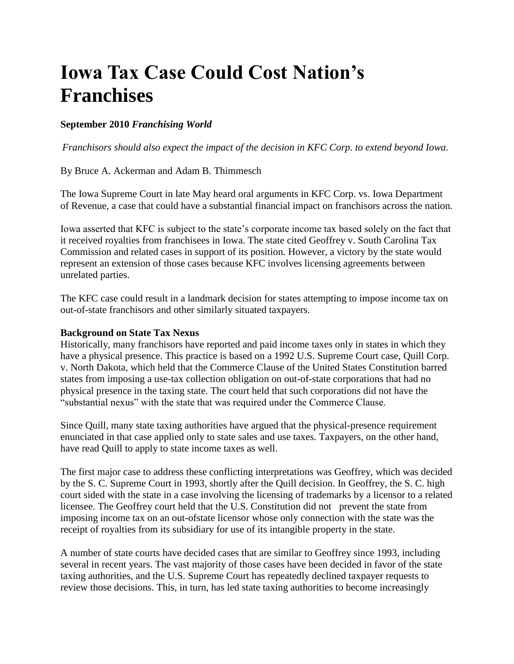# **Iowa Tax Case Could Cost Nation's Franchises**

## **September 2010** *Franchising World*

*Franchisors should also expect the impact of the decision in KFC Corp. to extend beyond Iowa.*

By Bruce A. Ackerman and Adam B. Thimmesch

The Iowa Supreme Court in late May heard oral arguments in KFC Corp. vs. Iowa Department of Revenue, a case that could have a substantial financial impact on franchisors across the nation.

Iowa asserted that KFC is subject to the state's corporate income tax based solely on the fact that it received royalties from franchisees in Iowa. The state cited Geoffrey v. South Carolina Tax Commission and related cases in support of its position. However, a victory by the state would represent an extension of those cases because KFC involves licensing agreements between unrelated parties.

The KFC case could result in a landmark decision for states attempting to impose income tax on out-of-state franchisors and other similarly situated taxpayers.

#### **Background on State Tax Nexus**

Historically, many franchisors have reported and paid income taxes only in states in which they have a physical presence. This practice is based on a 1992 U.S. Supreme Court case, Quill Corp. v. North Dakota, which held that the Commerce Clause of the United States Constitution barred states from imposing a use-tax collection obligation on out-of-state corporations that had no physical presence in the taxing state. The court held that such corporations did not have the "substantial nexus" with the state that was required under the Commerce Clause.

Since Quill, many state taxing authorities have argued that the physical-presence requirement enunciated in that case applied only to state sales and use taxes. Taxpayers, on the other hand, have read Quill to apply to state income taxes as well.

The first major case to address these conflicting interpretations was Geoffrey, which was decided by the S. C. Supreme Court in 1993, shortly after the Quill decision. In Geoffrey, the S. C. high court sided with the state in a case involving the licensing of trademarks by a licensor to a related licensee. The Geoffrey court held that the U.S. Constitution did not prevent the state from imposing income tax on an out-ofstate licensor whose only connection with the state was the receipt of royalties from its subsidiary for use of its intangible property in the state.

A number of state courts have decided cases that are similar to Geoffrey since 1993, including several in recent years. The vast majority of those cases have been decided in favor of the state taxing authorities, and the U.S. Supreme Court has repeatedly declined taxpayer requests to review those decisions. This, in turn, has led state taxing authorities to become increasingly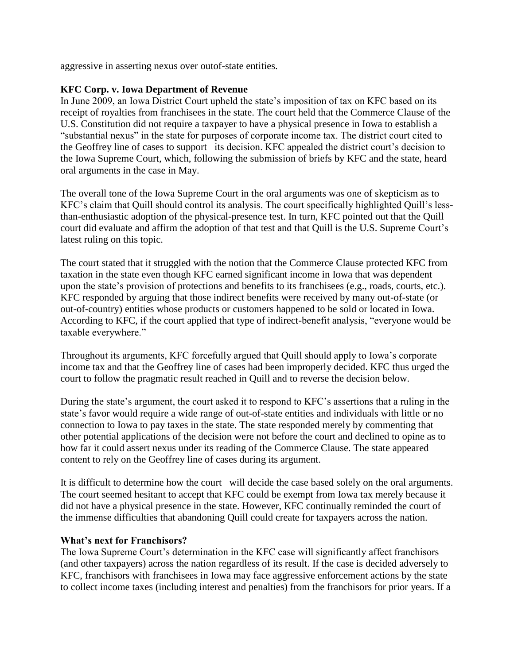aggressive in asserting nexus over outof-state entities.

### **KFC Corp. v. Iowa Department of Revenue**

In June 2009, an Iowa District Court upheld the state's imposition of tax on KFC based on its receipt of royalties from franchisees in the state. The court held that the Commerce Clause of the U.S. Constitution did not require a taxpayer to have a physical presence in Iowa to establish a "substantial nexus" in the state for purposes of corporate income tax. The district court cited to the Geoffrey line of cases to support its decision. KFC appealed the district court's decision to the Iowa Supreme Court, which, following the submission of briefs by KFC and the state, heard oral arguments in the case in May.

The overall tone of the Iowa Supreme Court in the oral arguments was one of skepticism as to KFC's claim that Quill should control its analysis. The court specifically highlighted Quill's lessthan-enthusiastic adoption of the physical-presence test. In turn, KFC pointed out that the Quill court did evaluate and affirm the adoption of that test and that Quill is the U.S. Supreme Court's latest ruling on this topic.

The court stated that it struggled with the notion that the Commerce Clause protected KFC from taxation in the state even though KFC earned significant income in Iowa that was dependent upon the state's provision of protections and benefits to its franchisees (e.g., roads, courts, etc.). KFC responded by arguing that those indirect benefits were received by many out-of-state (or out-of-country) entities whose products or customers happened to be sold or located in Iowa. According to KFC, if the court applied that type of indirect-benefit analysis, "everyone would be taxable everywhere."

Throughout its arguments, KFC forcefully argued that Quill should apply to Iowa's corporate income tax and that the Geoffrey line of cases had been improperly decided. KFC thus urged the court to follow the pragmatic result reached in Quill and to reverse the decision below.

During the state's argument, the court asked it to respond to KFC's assertions that a ruling in the state's favor would require a wide range of out-of-state entities and individuals with little or no connection to Iowa to pay taxes in the state. The state responded merely by commenting that other potential applications of the decision were not before the court and declined to opine as to how far it could assert nexus under its reading of the Commerce Clause. The state appeared content to rely on the Geoffrey line of cases during its argument.

It is difficult to determine how the court will decide the case based solely on the oral arguments. The court seemed hesitant to accept that KFC could be exempt from Iowa tax merely because it did not have a physical presence in the state. However, KFC continually reminded the court of the immense difficulties that abandoning Quill could create for taxpayers across the nation.

#### **What's next for Franchisors?**

The Iowa Supreme Court's determination in the KFC case will significantly affect franchisors (and other taxpayers) across the nation regardless of its result. If the case is decided adversely to KFC, franchisors with franchisees in Iowa may face aggressive enforcement actions by the state to collect income taxes (including interest and penalties) from the franchisors for prior years. If a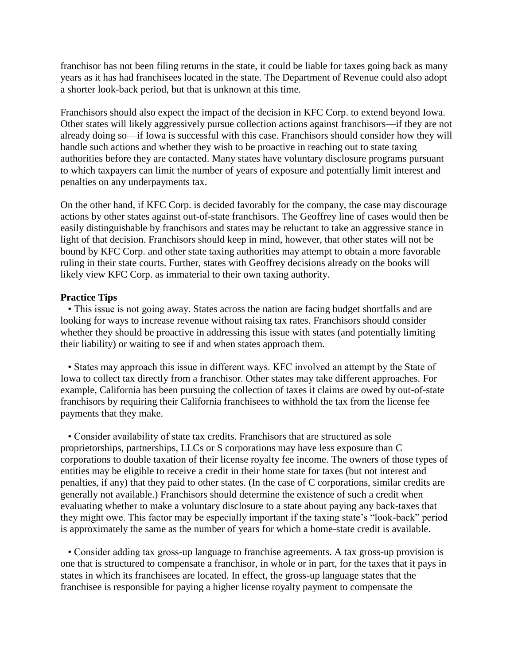franchisor has not been filing returns in the state, it could be liable for taxes going back as many years as it has had franchisees located in the state. The Department of Revenue could also adopt a shorter look-back period, but that is unknown at this time.

Franchisors should also expect the impact of the decision in KFC Corp. to extend beyond Iowa. Other states will likely aggressively pursue collection actions against franchisors—if they are not already doing so—if Iowa is successful with this case. Franchisors should consider how they will handle such actions and whether they wish to be proactive in reaching out to state taxing authorities before they are contacted. Many states have voluntary disclosure programs pursuant to which taxpayers can limit the number of years of exposure and potentially limit interest and penalties on any underpayments tax.

On the other hand, if KFC Corp. is decided favorably for the company, the case may discourage actions by other states against out-of-state franchisors. The Geoffrey line of cases would then be easily distinguishable by franchisors and states may be reluctant to take an aggressive stance in light of that decision. Franchisors should keep in mind, however, that other states will not be bound by KFC Corp. and other state taxing authorities may attempt to obtain a more favorable ruling in their state courts. Further, states with Geoffrey decisions already on the books will likely view KFC Corp. as immaterial to their own taxing authority.

#### **Practice Tips**

 • This issue is not going away. States across the nation are facing budget shortfalls and are looking for ways to increase revenue without raising tax rates. Franchisors should consider whether they should be proactive in addressing this issue with states (and potentially limiting their liability) or waiting to see if and when states approach them.

 • States may approach this issue in different ways. KFC involved an attempt by the State of Iowa to collect tax directly from a franchisor. Other states may take different approaches. For example, California has been pursuing the collection of taxes it claims are owed by out-of-state franchisors by requiring their California franchisees to withhold the tax from the license fee payments that they make.

 • Consider availability of state tax credits. Franchisors that are structured as sole proprietorships, partnerships, LLCs or S corporations may have less exposure than C corporations to double taxation of their license royalty fee income. The owners of those types of entities may be eligible to receive a credit in their home state for taxes (but not interest and penalties, if any) that they paid to other states. (In the case of C corporations, similar credits are generally not available.) Franchisors should determine the existence of such a credit when evaluating whether to make a voluntary disclosure to a state about paying any back-taxes that they might owe. This factor may be especially important if the taxing state's "look-back" period is approximately the same as the number of years for which a home-state credit is available.

 • Consider adding tax gross-up language to franchise agreements. A tax gross-up provision is one that is structured to compensate a franchisor, in whole or in part, for the taxes that it pays in states in which its franchisees are located. In effect, the gross-up language states that the franchisee is responsible for paying a higher license royalty payment to compensate the